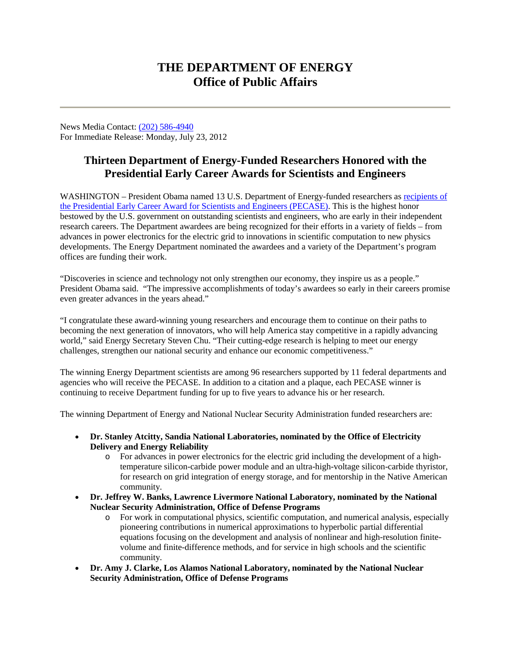## **THE DEPARTMENT OF ENERGY Office of Public Affairs**

News Media Contact: [\(202\) 586-4940](tel:%28202%29%20586-4940) For Immediate Release: Monday, July 23, 2012

## **Thirteen Department of Energy-Funded Researchers Honored with the Presidential Early Career Awards for Scientists and Engineers**

WASHINGTON – President Obama named 13 U.S. Department of Energy-funded researchers as recipients of [the Presidential Early Career Award for Scientists and Engineers \(PECASE\).](http://fourincdoe.pr-optout.com/Url.aspx?1022403x31046x715107) This is the highest honor bestowed by the U.S. government on outstanding scientists and engineers, who are early in their independent research careers. The Department awardees are being recognized for their efforts in a variety of fields – from advances in power electronics for the electric grid to innovations in scientific computation to new physics developments. The Energy Department nominated the awardees and a variety of the Department's program offices are funding their work.

"Discoveries in science and technology not only strengthen our economy, they inspire us as a people." President Obama said. "The impressive accomplishments of today's awardees so early in their careers promise even greater advances in the years ahead."

"I congratulate these award-winning young researchers and encourage them to continue on their paths to becoming the next generation of innovators, who will help America stay competitive in a rapidly advancing world," said Energy Secretary Steven Chu. "Their cutting-edge research is helping to meet our energy challenges, strengthen our national security and enhance our economic competitiveness."

The winning Energy Department scientists are among 96 researchers supported by 11 federal departments and agencies who will receive the PECASE. In addition to a citation and a plaque, each PECASE winner is continuing to receive Department funding for up to five years to advance his or her research.

The winning Department of Energy and National Nuclear Security Administration funded researchers are:

- **Dr. Stanley Atcitty, Sandia National Laboratories, nominated by the Office of Electricity Delivery and Energy Reliability**
	- o For advances in power electronics for the electric grid including the development of a hightemperature silicon-carbide power module and an ultra-high-voltage silicon-carbide thyristor, for research on grid integration of energy storage, and for mentorship in the Native American community.
- **Dr. Jeffrey W. Banks, Lawrence Livermore National Laboratory, nominated by the National Nuclear Security Administration, Office of Defense Programs**
	- o For work in computational physics, scientific computation, and numerical analysis, especially pioneering contributions in numerical approximations to hyperbolic partial differential equations focusing on the development and analysis of nonlinear and high-resolution finitevolume and finite-difference methods, and for service in high schools and the scientific community.
- **Dr. Amy J. Clarke, Los Alamos National Laboratory, nominated by the National Nuclear Security Administration, Office of Defense Programs**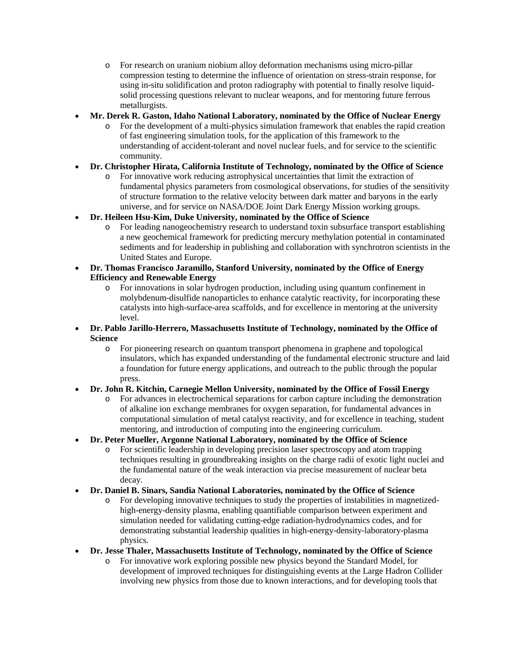- o For research on uranium niobium alloy deformation mechanisms using micro-pillar compression testing to determine the influence of orientation on stress-strain response, for using in-situ solidification and proton radiography with potential to finally resolve liquidsolid processing questions relevant to nuclear weapons, and for mentoring future ferrous metallurgists.
- **Mr. Derek R. Gaston, Idaho National Laboratory, nominated by the Office of Nuclear Energy**
	- o For the development of a multi-physics simulation framework that enables the rapid creation of fast engineering simulation tools, for the application of this framework to the understanding of accident-tolerant and novel nuclear fuels, and for service to the scientific community.
- **Dr. Christopher Hirata, California Institute of Technology, nominated by the Office of Science**
	- o For innovative work reducing astrophysical uncertainties that limit the extraction of fundamental physics parameters from cosmological observations, for studies of the sensitivity of structure formation to the relative velocity between dark matter and baryons in the early universe, and for service on NASA/DOE Joint Dark Energy Mission working groups.
- **Dr. Heileen Hsu-Kim, Duke University, nominated by the Office of Science**
	- o For leading nanogeochemistry research to understand toxin subsurface transport establishing a new geochemical framework for predicting mercury methylation potential in contaminated sediments and for leadership in publishing and collaboration with synchrotron scientists in the United States and Europe.
- **Dr. Thomas Francisco Jaramillo, Stanford University, nominated by the Office of Energy Efficiency and Renewable Energy**
	- o For innovations in solar hydrogen production, including using quantum confinement in molybdenum-disulfide nanoparticles to enhance catalytic reactivity, for incorporating these catalysts into high-surface-area scaffolds, and for excellence in mentoring at the university level.
- **Dr. Pablo Jarillo-Herrero, Massachusetts Institute of Technology, nominated by the Office of Science**
	- o For pioneering research on quantum transport phenomena in graphene and topological insulators, which has expanded understanding of the fundamental electronic structure and laid a foundation for future energy applications, and outreach to the public through the popular press.
- **Dr. John R. Kitchin, Carnegie Mellon University, nominated by the Office of Fossil Energy**
	- o For advances in electrochemical separations for carbon capture including the demonstration of alkaline ion exchange membranes for oxygen separation, for fundamental advances in computational simulation of metal catalyst reactivity, and for excellence in teaching, student mentoring, and introduction of computing into the engineering curriculum.
- **Dr. Peter Mueller, Argonne National Laboratory, nominated by the Office of Science**
	- o For scientific leadership in developing precision laser spectroscopy and atom trapping techniques resulting in groundbreaking insights on the charge radii of exotic light nuclei and the fundamental nature of the weak interaction via precise measurement of nuclear beta decay.
- **Dr. Daniel B. Sinars, Sandia National Laboratories, nominated by the Office of Science**
	- o For developing innovative techniques to study the properties of instabilities in magnetizedhigh-energy-density plasma, enabling quantifiable comparison between experiment and simulation needed for validating cutting-edge radiation-hydrodynamics codes, and for demonstrating substantial leadership qualities in high-energy-density-laboratory-plasma physics.
- **Dr. Jesse Thaler, Massachusetts Institute of Technology, nominated by the Office of Science**
	- o For innovative work exploring possible new physics beyond the Standard Model, for development of improved techniques for distinguishing events at the Large Hadron Collider involving new physics from those due to known interactions, and for developing tools that